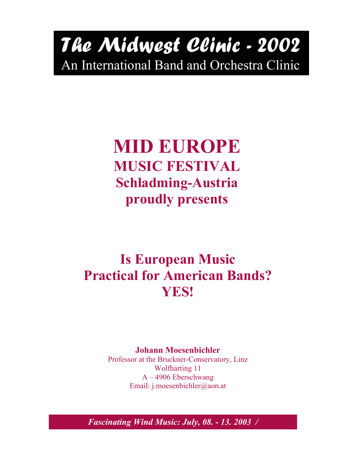# *The Midwest Clinic - 2002*  An International Band and Orchestra Clinic

## **MID EUROPE MUSIC FESTIVAL Schladming-Austria proudly presents**

## **Is European Music Practical for American Bands? YES!**

#### **Johann Moesenbichler**

Professor at the Bruckner-Conservatory, Linz Wolfharting 11 A – 4906 Eberschwang Email: j.moesenbichler@aon.at

*Fascinating Wind Music: July, 08. - 13. 2003 /*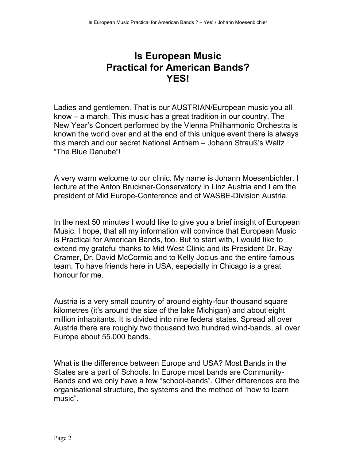### **Is European Music Practical for American Bands? YES!**

Ladies and gentlemen. That is our AUSTRIAN/European music you all know – a march. This music has a great tradition in our country. The New Year's Concert performed by the Vienna Philharmonic Orchestra is known the world over and at the end of this unique event there is always this march and our secret National Anthem – Johann Strauß's Waltz "The Blue Danube"!

A very warm welcome to our clinic. My name is Johann Moesenbichler. I lecture at the Anton Bruckner-Conservatory in Linz Austria and I am the president of Mid Europe-Conference and of WASBE-Division Austria.

In the next 50 minutes I would like to give you a brief insight of European Music. I hope, that all my information will convince that European Music is Practical for American Bands, too. But to start with, I would like to extend my grateful thanks to Mid West Clinic and its President Dr. Ray Cramer, Dr. David McCormic and to Kelly Jocius and the entire famous team. To have friends here in USA, especially in Chicago is a great honour for me.

Austria is a very small country of around eighty-four thousand square kilometres (it's around the size of the lake Michigan) and about eight million inhabitants. It is divided into nine federal states. Spread all over Austria there are roughly two thousand two hundred wind-bands, all over Europe about 55.000 bands.

What is the difference between Europe and USA? Most Bands in the States are a part of Schools. In Europe most bands are Community-Bands and we only have a few "school-bands". Other differences are the organisational structure, the systems and the method of "how to learn music".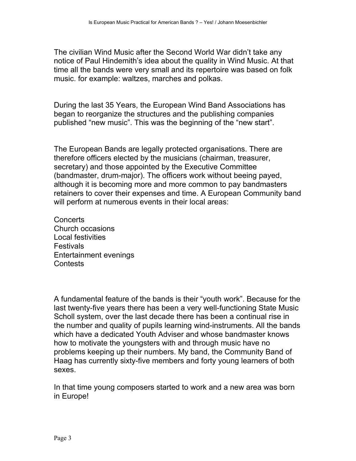The civilian Wind Music after the Second World War didn't take any notice of Paul Hindemith's idea about the quality in Wind Music. At that time all the bands were very small and its repertoire was based on folk music. for example: waltzes, marches and polkas.

During the last 35 Years, the European Wind Band Associations has began to reorganize the structures and the publishing companies published "new music". This was the beginning of the "new start".

The European Bands are legally protected organisations. There are therefore officers elected by the musicians (chairman, treasurer, secretary) and those appointed by the Executive Committee (bandmaster, drum-major). The officers work without beeing payed, although it is becoming more and more common to pay bandmasters retainers to cover their expenses and time. A European Community band will perform at numerous events in their local areas:

**Concerts** Church occasions Local festivities **Festivals** Entertainment evenings **Contests** 

A fundamental feature of the bands is their "youth work". Because for the last twenty-five years there has been a very well-functioning State Music Scholl system, over the last decade there has been a continual rise in the number and quality of pupils learning wind-instruments. All the bands which have a dedicated Youth Adviser and whose bandmaster knows how to motivate the youngsters with and through music have no problems keeping up their numbers. My band, the Community Band of Haag has currently sixty-five members and forty young learners of both sexes.

In that time young composers started to work and a new area was born in Europe!